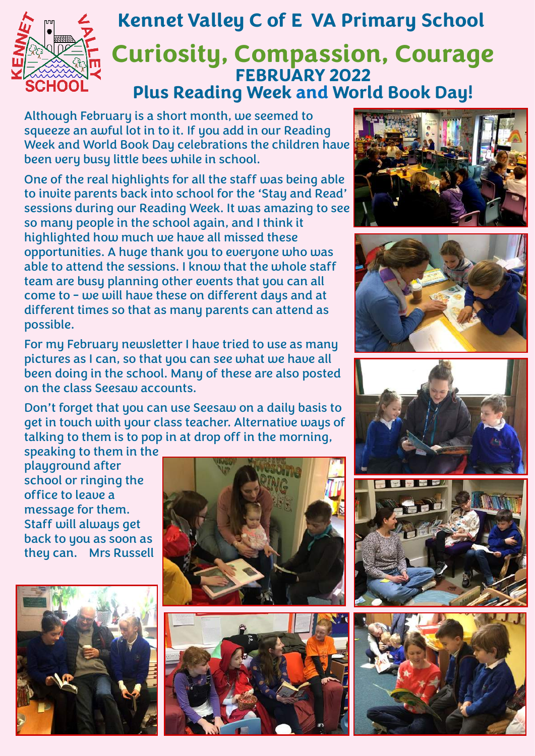

## **Curiosity, Compassion, Courage FEBRUARY 2022 Plus Reading Week and World Book Day! Kennet Valley C of E VA Primary School**

Although February is a short month, we seemed to squeeze an awful lot in to it. If you add in our Reading Week and World Book Day celebrations the children have been very busy little bees while in school.

One of the real highlights for all the staff was being able to invite parents back into school for the 'Stay and Read' sessions during our Reading Week. It was amazing to see so many people in the school again, and I think it highlighted how much we have all missed these opportunities. A huge thank you to everyone who was able to attend the sessions. I know that the whole staff team are busy planning other events that you can all come to - we will have these on different days and at different times so that as many parents can attend as possible.

For my February newsletter I have tried to use as many pictures as I can, so that you can see what we have all been doing in the school. Many of these are also posted on the class Seesaw accounts.

Don't forget that you can use Seesaw on a daily basis to get in touch with your class teacher. Alternative ways of talking to them is to pop in at drop off in the morning,

speaking to them in the playground after school or ringing the office to leave a message for them. Staff will always get back to you as soon as they can. Mrs Russell















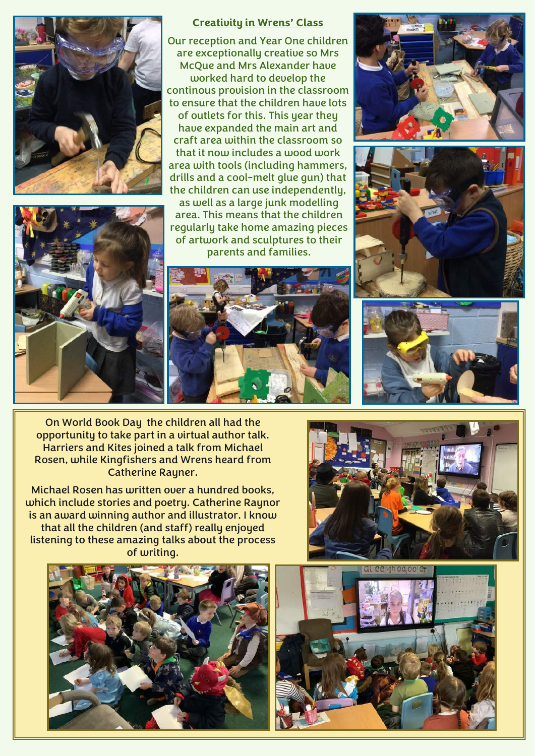



## **Creativity in Wrens' Class**

Our reception and Year One children are exceptionally creative so Mrs McQue and Mrs Alexander have worked hard to develop the continous provision in the classroom to ensure that the children have lots of outlets for this. This year they have expanded the main art and craft area within the classroom so that it now includes a wood work area with tools (including hammers, drills and a cool-melt glue gun) that the children can use independently,

as well as a large junk modelling area. This means that the children regularly take home amazing pieces of artwork and sculptures to their parents and families.









On World Book Day the children all had the opportunity to take part in a virtual author talk. Harriers and Kites joined a talk from Michael Rosen, while Kingfishers and Wrens heard from Catherine Rayner.

Michael Rosen has written over a hundred books, which include stories and poetry. Catherine Raynor is an award winning author and illustrator. I know that all the children (and staff) really enjoyed listening to these amazing talks about the process of writing.





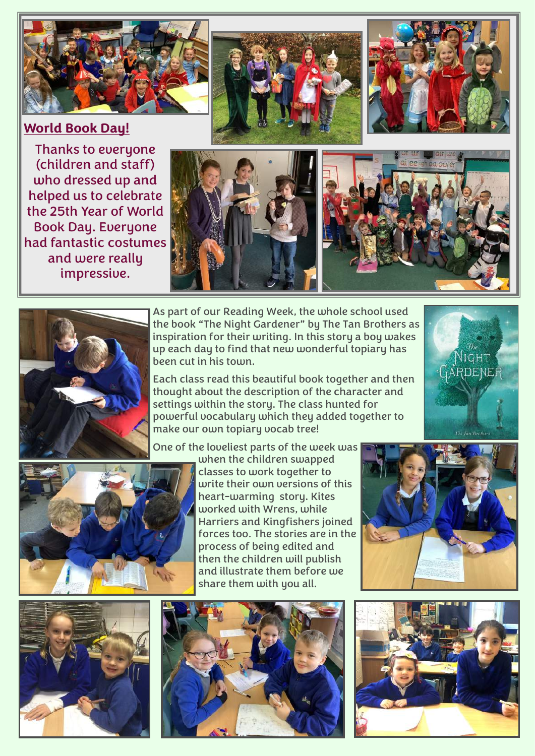

## **World Book Day!**

Thanks to everyone (children and staff) who dressed up and helped us to celebrate the 25th Year of World Book Day. Everyone had fantastic costumes and were really impressive.









As part of our Reading Week, the whole school used the book "The Night Gardener" by The Tan Brothers as inspiration for their writing. In this story a boy wakes up each day to find that new wonderful topiary has been cut in his town.

Each class read this beautiful book together and then thought about the description of the character and settings within the story. The class hunted for powerful vocabulary which they added together to make our own topiary vocab tree!

One of the loveliest parts of the week was



when the children swapped classes to work together to write their own versions of this heart-warming story. Kites worked with Wrens, while Harriers and Kingfishers joined forces too. The stories are in the process of being edited and then the children will publish and illustrate them before we share them with you all.



GARDENEF